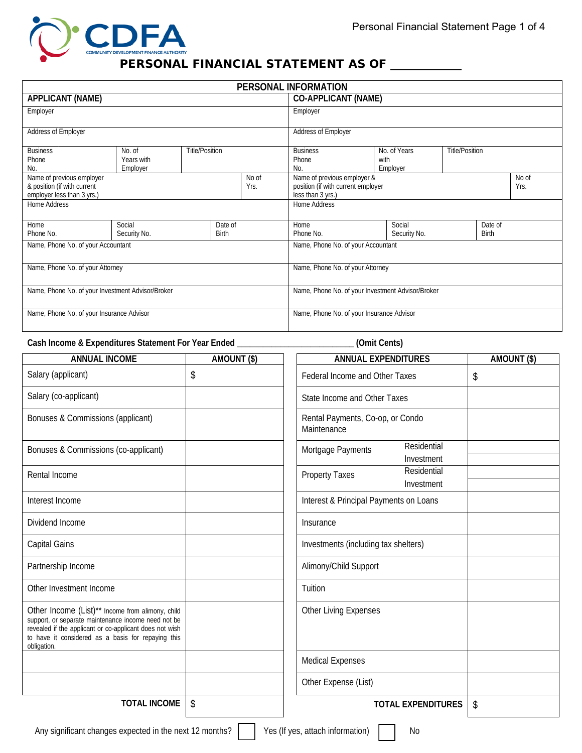

## PERSONAL FINANCIAL STATEMENT AS OF \_\_\_\_\_\_\_\_\_\_

|                                                                                                         |                                  |                       |                                                                                                         |                                           | PERSONAL INFORMATION                              |  |                                  |                       |              |  |
|---------------------------------------------------------------------------------------------------------|----------------------------------|-----------------------|---------------------------------------------------------------------------------------------------------|-------------------------------------------|---------------------------------------------------|--|----------------------------------|-----------------------|--------------|--|
| <b>APPLICANT (NAME)</b>                                                                                 |                                  |                       |                                                                                                         |                                           | <b>CO-APPLICANT (NAME)</b>                        |  |                                  |                       |              |  |
| Employer                                                                                                |                                  |                       |                                                                                                         |                                           | Employer                                          |  |                                  |                       |              |  |
| Address of Employer                                                                                     |                                  |                       |                                                                                                         |                                           | Address of Employer                               |  |                                  |                       |              |  |
| <b>Business</b><br>Phone<br>No.                                                                         | No. of<br>Years with<br>Employer | <b>Title/Position</b> |                                                                                                         |                                           | <b>Business</b><br>Phone<br>No.                   |  | No. of Years<br>with<br>Employer | <b>Title/Position</b> |              |  |
| Name of previous employer<br>No of<br>& position (if with current<br>Yrs.<br>employer less than 3 yrs.) |                                  |                       | Name of previous employer &<br>No of<br>position (if with current employer<br>Yrs.<br>less than 3 yrs.) |                                           |                                                   |  |                                  |                       |              |  |
| Home Address                                                                                            |                                  |                       |                                                                                                         |                                           | Home Address                                      |  |                                  |                       |              |  |
| Home                                                                                                    | Social                           |                       | Date of                                                                                                 |                                           | Home                                              |  | Social                           |                       | Date of      |  |
| Phone No.                                                                                               | Security No.                     |                       | <b>Birth</b>                                                                                            |                                           | Phone No.                                         |  | Security No.                     |                       | <b>Birth</b> |  |
| Name, Phone No. of your Accountant                                                                      |                                  |                       |                                                                                                         |                                           | Name, Phone No. of your Accountant                |  |                                  |                       |              |  |
| Name, Phone No. of your Attorney                                                                        |                                  |                       |                                                                                                         |                                           | Name, Phone No. of your Attorney                  |  |                                  |                       |              |  |
| Name, Phone No. of your Investment Advisor/Broker                                                       |                                  |                       |                                                                                                         |                                           | Name, Phone No. of your Investment Advisor/Broker |  |                                  |                       |              |  |
| Name, Phone No. of your Insurance Advisor                                                               |                                  |                       |                                                                                                         | Name, Phone No. of your Insurance Advisor |                                                   |  |                                  |                       |              |  |

**Cash Income & Expenditures Statement For Year Ended \_\_\_\_\_\_\_\_\_\_\_\_\_\_\_\_\_\_\_\_\_\_\_\_\_\_\_ (Omit Cents)**

| <b>ANNUAL INCOME</b>                                                                                                                                                                                                                    | AMOUNT (\$) | <b>ANNUAL EXPENDITURES</b>                         | AMOUNT (\$) |
|-----------------------------------------------------------------------------------------------------------------------------------------------------------------------------------------------------------------------------------------|-------------|----------------------------------------------------|-------------|
| Salary (applicant)                                                                                                                                                                                                                      | \$          | Federal Income and Other Taxes                     | \$          |
| Salary (co-applicant)                                                                                                                                                                                                                   |             | State Income and Other Taxes                       |             |
| Bonuses & Commissions (applicant)                                                                                                                                                                                                       |             | Rental Payments, Co-op, or Condo<br>Maintenance    |             |
| Bonuses & Commissions (co-applicant)                                                                                                                                                                                                    |             | Residential<br>Mortgage Payments<br>Investment     |             |
| Rental Income                                                                                                                                                                                                                           |             | Residential<br><b>Property Taxes</b><br>Investment |             |
| Interest Income                                                                                                                                                                                                                         |             | Interest & Principal Payments on Loans             |             |
| Dividend Income                                                                                                                                                                                                                         |             | Insurance                                          |             |
| <b>Capital Gains</b>                                                                                                                                                                                                                    |             | Investments (including tax shelters)               |             |
| Partnership Income                                                                                                                                                                                                                      |             | Alimony/Child Support                              |             |
| Other Investment Income                                                                                                                                                                                                                 |             | Tuition                                            |             |
| Other Income (List)** Income from alimony, child<br>support, or separate maintenance income need not be<br>revealed if the applicant or co-applicant does not wish<br>to have it considered as a basis for repaying this<br>obligation. |             | <b>Other Living Expenses</b>                       |             |
|                                                                                                                                                                                                                                         |             | <b>Medical Expenses</b>                            |             |
|                                                                                                                                                                                                                                         |             | Other Expense (List)                               |             |
| <b>TOTAL INCOME</b>                                                                                                                                                                                                                     | \$          | <b>TOTAL EXPENDITURES</b>                          | \$          |
| Any significant changes expected in the next 12 months?                                                                                                                                                                                 |             | Yes (If yes, attach information)<br><b>No</b>      |             |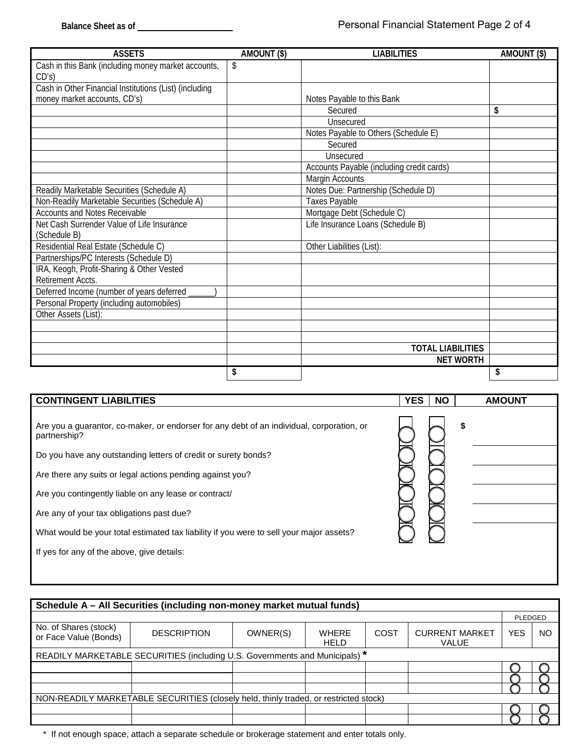| <b>ASSETS</b>                                          | AMOUNT (\$) | <b>LIABILITIES</b>                        | AMOUNT (\$) |
|--------------------------------------------------------|-------------|-------------------------------------------|-------------|
| Cash in this Bank (including money market accounts,    | \$          |                                           |             |
| CD's)                                                  |             |                                           |             |
| Cash in Other Financial Institutions (List) (including |             |                                           |             |
| money market accounts, CD's)                           |             | Notes Payable to this Bank                |             |
|                                                        |             | Secured                                   | \$          |
|                                                        |             | Unsecured                                 |             |
|                                                        |             | Notes Payable to Others (Schedule E)      |             |
|                                                        |             | Secured                                   |             |
|                                                        |             | Unsecured                                 |             |
|                                                        |             | Accounts Payable (including credit cards) |             |
|                                                        |             | Margin Accounts                           |             |
| Readily Marketable Securities (Schedule A)             |             | Notes Due: Partnership (Schedule D)       |             |
| Non-Readily Marketable Securities (Schedule A)         |             | <b>Taxes Payable</b>                      |             |
| <b>Accounts and Notes Receivable</b>                   |             | Mortgage Debt (Schedule C)                |             |
| Net Cash Surrender Value of Life Insurance             |             | Life Insurance Loans (Schedule B)         |             |
| (Schedule B)                                           |             |                                           |             |
| Residential Real Estate (Schedule C)                   |             | Other Liabilities (List):                 |             |
| Partnerships/PC Interests (Schedule D)                 |             |                                           |             |
| IRA, Keogh, Profit-Sharing & Other Vested              |             |                                           |             |
| Retirement Accts.                                      |             |                                           |             |
| Deferred Income (number of years deferred              |             |                                           |             |
| Personal Property (including automobiles)              |             |                                           |             |
| Other Assets (List):                                   |             |                                           |             |
|                                                        |             |                                           |             |
|                                                        |             |                                           |             |
|                                                        |             | <b>TOTAL LIABILITIES</b>                  |             |
|                                                        |             | <b>NET WORTH</b>                          |             |
|                                                        | \$          |                                           | \$          |

| <b>CONTINGENT LIABILITIES</b>                                                                             | <b>YES</b><br><b>NO</b> | <b>AMOUNT</b> |
|-----------------------------------------------------------------------------------------------------------|-------------------------|---------------|
| Are you a guarantor, co-maker, or endorser for any debt of an individual, corporation, or<br>partnership? |                         | \$            |
| Do you have any outstanding letters of credit or surety bonds?                                            |                         |               |
| Are there any suits or legal actions pending against you?                                                 |                         |               |
| Are you contingently liable on any lease or contract/                                                     |                         |               |
| Are any of your tax obligations past due?                                                                 |                         |               |
| What would be your total estimated tax liability if you were to sell your major assets?                   |                         |               |
| If yes for any of the above, give details:                                                                |                         |               |
|                                                                                                           |                         |               |

|                                                                             | Schedule A – All Securities (including non-money market mutual funds)                |          |                             |      |                                       |         |    |
|-----------------------------------------------------------------------------|--------------------------------------------------------------------------------------|----------|-----------------------------|------|---------------------------------------|---------|----|
|                                                                             |                                                                                      |          |                             |      |                                       | PLEDGED |    |
| No. of Shares (stock)<br>or Face Value (Bonds)                              | <b>DESCRIPTION</b>                                                                   | OWNER(S) | <b>WHERE</b><br><b>HELD</b> | COST | <b>CURRENT MARKET</b><br><b>VALUE</b> | YES     | NO |
| READILY MARKETABLE SECURITIES (including U.S. Governments and Municipals) * |                                                                                      |          |                             |      |                                       |         |    |
|                                                                             |                                                                                      |          |                             |      |                                       |         |    |
|                                                                             |                                                                                      |          |                             |      |                                       |         |    |
|                                                                             |                                                                                      |          |                             |      |                                       |         |    |
|                                                                             | NON-READILY MARKETABLE SECURITIES (closely held, thinly traded, or restricted stock) |          |                             |      |                                       |         |    |
|                                                                             |                                                                                      |          |                             |      |                                       |         |    |
|                                                                             |                                                                                      |          |                             |      |                                       |         |    |

\* If not enough space, attach a separate schedule or brokerage statement and enter totals only.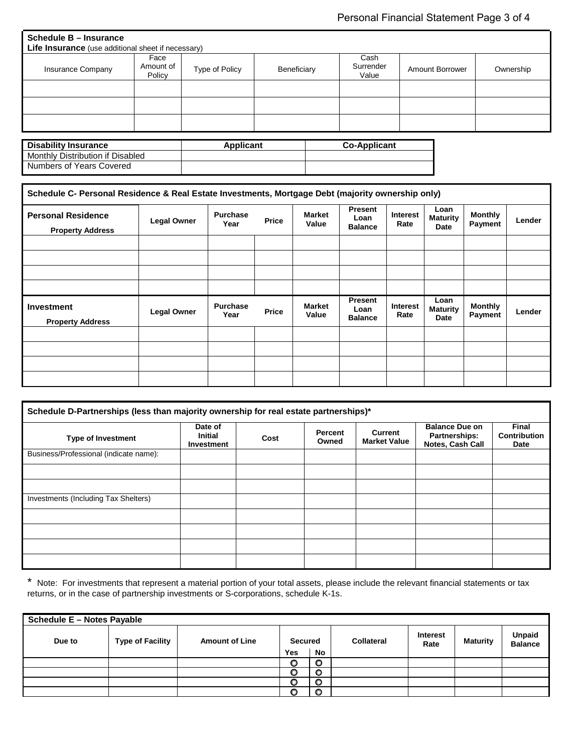| Schedule B – Insurance                                    |                             |                |             |                            |                        |           |
|-----------------------------------------------------------|-----------------------------|----------------|-------------|----------------------------|------------------------|-----------|
| <b>Life Insurance</b> (use additional sheet if necessary) |                             |                |             |                            |                        |           |
| <b>Insurance Company</b>                                  | Face<br>Amount of<br>Policy | Type of Policy | Beneficiary | Cash<br>Surrender<br>Value | <b>Amount Borrower</b> | Ownership |
|                                                           |                             |                |             |                            |                        |           |
|                                                           |                             |                |             |                            |                        |           |
|                                                           |                             |                |             |                            |                        |           |

| <b>Disability Insurance</b>      | <b>Applicant</b> | <b>Co-Applicant</b> |
|----------------------------------|------------------|---------------------|
| Monthly Distribution if Disabled |                  |                     |
| Numbers of Years Covered         |                  |                     |

| Schedule C- Personal Residence & Real Estate Investments, Mortgage Debt (majority ownership only) |                    |                         |       |                        |                                          |                         |                                 |                                  |        |
|---------------------------------------------------------------------------------------------------|--------------------|-------------------------|-------|------------------------|------------------------------------------|-------------------------|---------------------------------|----------------------------------|--------|
| <b>Personal Residence</b><br><b>Property Address</b>                                              | <b>Legal Owner</b> | <b>Purchase</b><br>Year | Price | <b>Market</b><br>Value | <b>Present</b><br>Loan<br><b>Balance</b> | <b>Interest</b><br>Rate | Loan<br><b>Maturity</b><br>Date | <b>Monthly</b><br>Payment        | Lender |
|                                                                                                   |                    |                         |       |                        |                                          |                         |                                 |                                  |        |
|                                                                                                   |                    |                         |       |                        |                                          |                         |                                 |                                  |        |
|                                                                                                   |                    |                         |       |                        |                                          |                         |                                 |                                  |        |
|                                                                                                   |                    |                         |       |                        |                                          |                         |                                 |                                  |        |
| <b>Investment</b><br><b>Property Address</b>                                                      | <b>Legal Owner</b> | <b>Purchase</b><br>Year | Price | <b>Market</b><br>Value | <b>Present</b><br>Loan<br><b>Balance</b> | Interest<br>Rate        | Loan<br><b>Maturity</b><br>Date | <b>Monthly</b><br><b>Payment</b> | Lender |
|                                                                                                   |                    |                         |       |                        |                                          |                         |                                 |                                  |        |
|                                                                                                   |                    |                         |       |                        |                                          |                         |                                 |                                  |        |
|                                                                                                   |                    |                         |       |                        |                                          |                         |                                 |                                  |        |
|                                                                                                   |                    |                         |       |                        |                                          |                         |                                 |                                  |        |

| Schedule D-Partnerships (less than majority ownership for real estate partnerships)* |                                         |      |                  |                                |                                                            |                                             |
|--------------------------------------------------------------------------------------|-----------------------------------------|------|------------------|--------------------------------|------------------------------------------------------------|---------------------------------------------|
| <b>Type of Investment</b>                                                            | Date of<br><b>Initial</b><br>Investment | Cost | Percent<br>Owned | Current<br><b>Market Value</b> | <b>Balance Due on</b><br>Partnerships:<br>Notes, Cash Call | <b>Final</b><br><b>Contribution</b><br>Date |
| Business/Professional (indicate name):                                               |                                         |      |                  |                                |                                                            |                                             |
|                                                                                      |                                         |      |                  |                                |                                                            |                                             |
|                                                                                      |                                         |      |                  |                                |                                                            |                                             |
| Investments (Including Tax Shelters)                                                 |                                         |      |                  |                                |                                                            |                                             |
|                                                                                      |                                         |      |                  |                                |                                                            |                                             |
|                                                                                      |                                         |      |                  |                                |                                                            |                                             |
|                                                                                      |                                         |      |                  |                                |                                                            |                                             |
|                                                                                      |                                         |      |                  |                                |                                                            |                                             |

\* Note: For investments that represent a material portion of your total assets, please include the relevant financial statements or tax returns, or in the case of partnership investments or S-corporations, schedule K-1s.

| <b>Schedule E - Notes Payable</b> |                         |                       |                |         |                   |                         |                 |                                 |
|-----------------------------------|-------------------------|-----------------------|----------------|---------|-------------------|-------------------------|-----------------|---------------------------------|
| Due to                            | <b>Type of Facility</b> | <b>Amount of Line</b> | <b>Secured</b> |         | <b>Collateral</b> | <b>Interest</b><br>Rate | <b>Maturity</b> | <b>Unpaid</b><br><b>Balance</b> |
|                                   |                         |                       | <b>Yes</b>     | No      |                   |                         |                 |                                 |
|                                   |                         |                       | O              | $\circ$ |                   |                         |                 |                                 |
|                                   |                         |                       | O              | $\circ$ |                   |                         |                 |                                 |
|                                   |                         |                       | O              | O       |                   |                         |                 |                                 |
|                                   |                         |                       | o              | $\circ$ |                   |                         |                 |                                 |